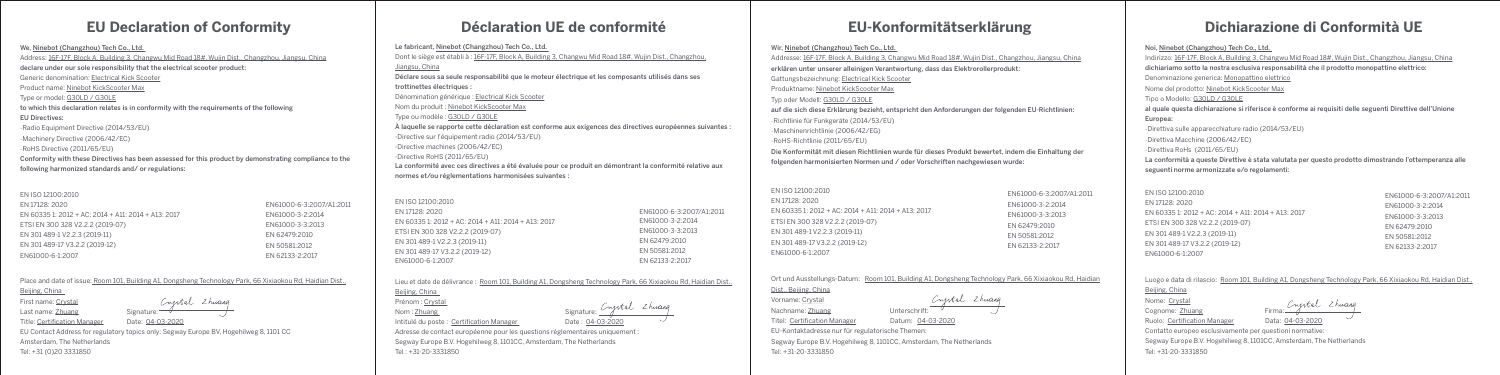### **EU Declaration of Conformity**

We, Ninebot (Changzhou) Tech Co., Ltd. Address: 16F-17F, Block A, Building 3, Changwu Mid Road 18#, Wujin Dist., Changzhou, Jiangsu, China declare under our sole responsibility that the electrical scooter product: Generic denomination: Electrical Kick Scooter Product name: Ninebot KickScooter Max Type or model: G30LD / G30LE to which this declaration relates is in conformity with the requirements of the following EU Directives: -Radio Equipment Directive (2014/53/EU) -Machinery Directive (2006/42/EC) -RoHS Directive (2011/65/EU) Conformity with these Directives has been assessed for this product by demonstrating compliance to the following harmonized standards and/ or regulations:

Place and date of issue: Room 101, Building A1, Dongsheng Technology Park, 66 Xixiaokou Rd, Haidian Dist., Beijing, China

First name: Crystal

Crystal Zhuang Last name: Zhuang Signature:

Title: Certification Manager Date: 04-03-2020

EU Contact Address for regulatory topics only: Segway Europe BV, Hogehilweg 8, 1101 CC Amsterdam, The Netherlands

Tel: +31 (0)20 3331850

### **Déclaration UE de conformité**

#### Le fabricant, Ninebot (Changzhou) Tech Co., Ltd.

Adresse de contact européenne pour les questions réglementaires uniquement Segway Europe B.V. Hogehilweg 8, 1101CC, Amsterdam, The Netherlands Tel : +31-20-3331850

| Dont le siège est établi à : 16F-17F, Block A, Building 3, Changwu Mid Road 18#, Wujin Dist., Changzhou,   |
|------------------------------------------------------------------------------------------------------------|
| Jiangsu. China                                                                                             |
| Déclare sous sa seule responsabilité que le moteur électrique et les composants utilisés dans ses          |
| trottinettes électriques :                                                                                 |
| Dénomination générique : Electrical Kick Scooter                                                           |
| Nom du produit : Ninebot KickScooter Max                                                                   |
| Type ou modèle : G30LD / G30LE                                                                             |
| À laquelle se rapporte cette déclaration est conforme aux exigences des directives européennes suivantes : |
| -Directive sur l'équipement radio (2014/53/EU)                                                             |
| -Directive machines (2006/42/EC)                                                                           |
| -Directive RoHS (2011/65/EU)                                                                               |
| La conformité avec ces directives a été évaluée pour ce produit en démontrant la conformité relative aux   |
| normes et/ou réglementations harmonisées suivantes :                                                       |

Lieu et date de délivrance : Room 101, Building A1, Dongsheng Technology Park, 66 Xixiaokou Rd, Haidian Dist.,

Prénom : Crystal

Beijing, China

Intitulé du poste : Certification Manager Date : 04-03-2020

Frenom Signature: Congress Signature: Congress 2 huang<br>Nom : Zhuang

## **EU-Konformitätserklärung**

#### Wir, Ninebot (Changzhou) Tech Co., Ltd.

Addresse: 16F-17F, Block A, Building 3, Changwu Mid Road 18#, Wujin Dist., Changzhou, Jiangsu, China erklären unter unserer alleinigen Verantwortung, dass das Elektrorollerprodukt:

Gattungsbezeichnung: Electrical Kick Scooter Produktname: Ninebot KickScooter Max Typ oder Modell: G30LD / G30LE -Richtlinie für Funkgeräte (2014/53/EU) -Maschinenrichtlinie (2006/42/EG) -RoHS-Richtlinie (2011/65/EU)

auf die sich diese Erklärung bezieht, entspricht den Anforderungen der folgenden EU-Richtlinien:

- 
- 

EN ISO 12100:2010 EN 17128: 2020 EN 60335 1: 2012 + AC: 2014 + A11: 2014 + A13: 2017 ETSI EN 300 328 V2.2.2 (2019-07) EN 301 489-1 V2.2.3 (2019-11) EN 301 489-17 V3.2.2 (2019-12) EN61000-6-1:2007 EN61000-6-3:2007/A1:2011 EN61000-3-2:2014 EN61000-3-3:2013 EN 62479:2010 EN 50581:2012 EN 62133-2:2017

Die Konformität mit diesen Richtlinien wurde für dieses Produkt bewertet, indem die Einhaltung der folgenden harmonisierten Normen und / oder Vorschriften nachgewiesen wurde:

| )14 + A11: 2014 + A13: 2017 |
|-----------------------------|
| 2019-07)                    |
| 9-11)                       |
| l9-12)                      |
|                             |

EN ISO 12100:2010 EN 17128: 2020 EN 603351: 2012 + AC: 20 ETSI EN 300 328 V2.2.2 (2 EN 301 489-1 V2.2.3 (2019 EN 301 489-17 V3.2.2 (201 EN61000-6-1:2007

| EN ISO 12100:2010                                   |                          |
|-----------------------------------------------------|--------------------------|
| EN 17128: 2020                                      | EN61000-6-3:2007/A1:2011 |
| EN 60335 1: 2012 + AC: 2014 + A11: 2014 + A13: 2017 | EN61000-3-2:2014         |
| ETSI EN 300 328 V2.2.2 (2019-07)                    | EN61000-3-3:2013         |
| EN 301 489-1 V2.2.3 (2019-11)                       | EN 62479:2010            |
| EN 301 489-17 V3.2.2 (2019-12)                      | EN 50581:2012            |
| EN61000-6-1:2007                                    | EN 62133-2:2017          |

EIN OZIJJ-Z.ZUI.

Dist., Beijing, China Vorname: Crystal Nachname: Zhuang Unterschrift: EU-Kontaktadresse nur für regulatorische Themen: Tel: +31-20-3331850

Segway Europe B.V. Hogehilweg 8, 1101CC, Amsterdam, The Netherlands

# **Dichiarazione di Conformità UE**

#### Noi, Ninebot (Changzhou) Tech Co., Ltd.

Indirizzo: 16F-17F, Block A, Building 3, Changwu Mid Road 18#, Wujin Dist., Changzhou, Jiangsu, China dichiariamo sotto la nostra esclusiva responsabilità che il prodotto monopattino elettrico: Denominazione generica: Monopattino elettrico Nome del prodotto: Ninebot KickScooter Max Tipo o Modello: G30LD / G30LE al quale questa dichiarazione si riferisce è conforme ai requisiti delle seguenti Direttive dell'Unione Europea: -Direttiva sulle apparecchiature radio (2014/53/EU) -Direttiva Macchine (2006/42/EC) -Direttiva RoHs (2011/65/EU) La conformità a queste Direttive è stata valutata per questo prodotto dimostrando l'ottemperanza alle

seguenti norme armonizzate e/o regolamenti:

#### EN ISO 12100:2010

EN 17128: 2020 EN 60335 1: 2012 + AC: 2014 + A11: 2014 + A13: 2017 ETSI EN 300 328 V2.2.2 (2019-07) EN 301 489-1 V2.2.3 (2019-11) EN 301 489-17 V3.2.2 (2019-12) EN61000-6-1:2007

Luogo e data di rilascio: Room 101, Building A1, Dongsheng Technology Park, 66 Xixiaokou Rd, Haidian Dist.,

Beijing, China

Nome: Crystal

Nome: <u>Crystal</u><br>Cognome: Zhuang Firma: Firma: Firmang Ruolo: Certification Manager Data: 04-03-2020

Contatto europeo esclusivamente per questioni normative: Segway Europe B.V. Hogehilweg 8, 1101CC, Amsterdam, The Netherlands Tel: +31-20-3331850

EN61000-6-3:2007/A1:2011 EN61000-3-2:2014 EN61000-3-3:2013 EN 62479:2010 EN 50581:2012 EN 62133-2:2017

Ort und Ausstellungs-Datum: Room 101, Building A1, Dongsheng Technology Park, 66 Xixiaokou Rd, Haidian

Crystal Zhuang

Titel: Certification Manager Datum: 04-03-2020

EN61000-6-3:2007/A1:2011 EN61000-3-2:2014 EN61000-3-3:2013 EN 62479:2010 EN 50581:2012 EN 62133-2:2017